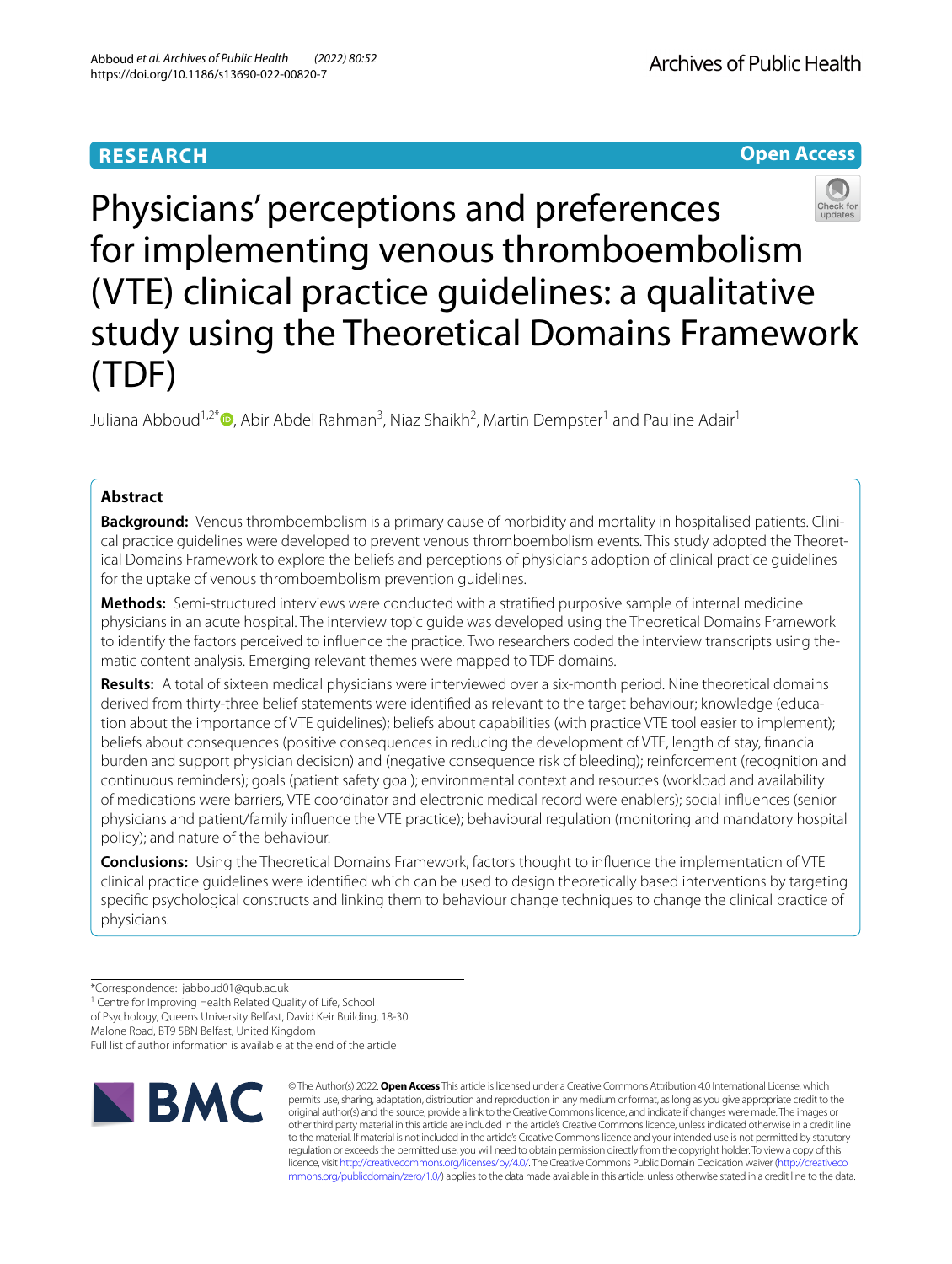



Physicians' perceptions and preferences for implementing venous thromboembolism (VTE) clinical practice guidelines: a qualitative study using the Theoretical Domains Framework (TDF)

Juliana Abboud<sup>1[,](http://orcid.org/0000-0002-9707-7834)2\*</sup>®, Abir Abdel Rahman<sup>3</sup>, Niaz Shaikh<sup>2</sup>, Martin Dempster<sup>1</sup> and Pauline Adair<sup>1</sup>

# **Abstract**

**Background:** Venous thromboembolism is a primary cause of morbidity and mortality in hospitalised patients. Clinical practice guidelines were developed to prevent venous thromboembolism events. This study adopted the Theoretical Domains Framework to explore the beliefs and perceptions of physicians adoption of clinical practice guidelines for the uptake of venous thromboembolism prevention guidelines.

**Methods:** Semi-structured interviews were conducted with a stratifed purposive sample of internal medicine physicians in an acute hospital. The interview topic guide was developed using the Theoretical Domains Framework to identify the factors perceived to infuence the practice. Two researchers coded the interview transcripts using thematic content analysis. Emerging relevant themes were mapped to TDF domains.

**Results:** A total of sixteen medical physicians were interviewed over a six-month period. Nine theoretical domains derived from thirty-three belief statements were identifed as relevant to the target behaviour; knowledge (education about the importance of VTE guidelines); beliefs about capabilities (with practice VTE tool easier to implement); beliefs about consequences (positive consequences in reducing the development of VTE, length of stay, fnancial burden and support physician decision) and (negative consequence risk of bleeding); reinforcement (recognition and continuous reminders); goals (patient safety goal); environmental context and resources (workload and availability of medications were barriers, VTE coordinator and electronic medical record were enablers); social infuences (senior physicians and patient/family infuence the VTE practice); behavioural regulation (monitoring and mandatory hospital policy); and nature of the behaviour.

**Conclusions:** Using the Theoretical Domains Framework, factors thought to infuence the implementation of VTE clinical practice guidelines were identifed which can be used to design theoretically based interventions by targeting specifc psychological constructs and linking them to behaviour change techniques to change the clinical practice of physicians.

Malone Road, BT9 5BN Belfast, United Kingdom

Full list of author information is available at the end of the article



© The Author(s) 2022. **Open Access** This article is licensed under a Creative Commons Attribution 4.0 International License, which permits use, sharing, adaptation, distribution and reproduction in any medium or format, as long as you give appropriate credit to the original author(s) and the source, provide a link to the Creative Commons licence, and indicate if changes were made. The images or other third party material in this article are included in the article's Creative Commons licence, unless indicated otherwise in a credit line to the material. If material is not included in the article's Creative Commons licence and your intended use is not permitted by statutory regulation or exceeds the permitted use, you will need to obtain permission directly from the copyright holder. To view a copy of this licence, visit [http://creativecommons.org/licenses/by/4.0/.](http://creativecommons.org/licenses/by/4.0/) The Creative Commons Public Domain Dedication waiver ([http://creativeco](http://creativecommons.org/publicdomain/zero/1.0/) [mmons.org/publicdomain/zero/1.0/](http://creativecommons.org/publicdomain/zero/1.0/)) applies to the data made available in this article, unless otherwise stated in a credit line to the data.

<sup>\*</sup>Correspondence: jabboud01@qub.ac.uk

<sup>&</sup>lt;sup>1</sup> Centre for Improving Health Related Quality of Life, School

of Psychology, Queens University Belfast, David Keir Building, 18-30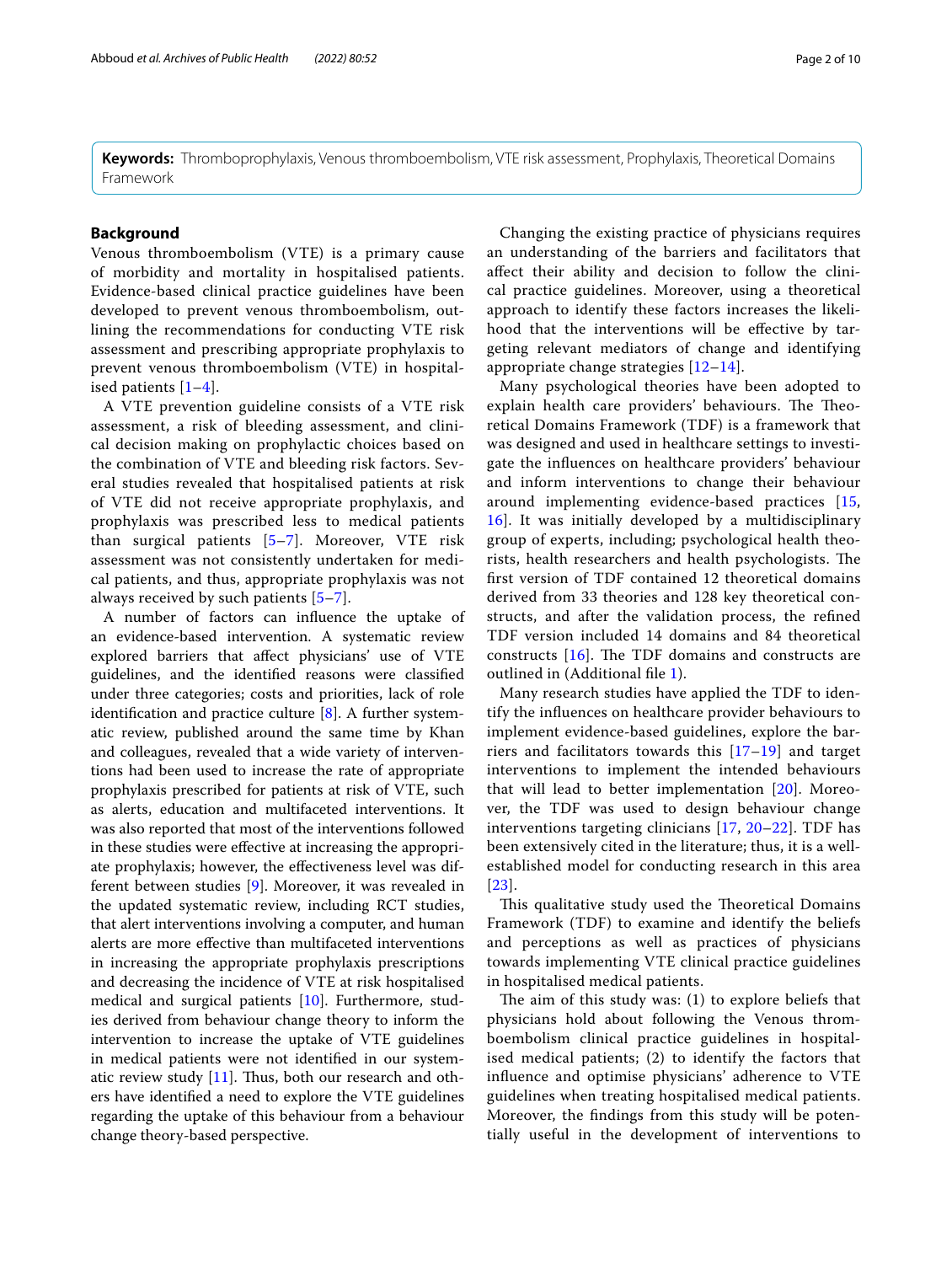**Keywords:** Thromboprophylaxis, Venous thromboembolism, VTE risk assessment, Prophylaxis, Theoretical Domains Framework

# **Background**

Venous thromboembolism (VTE) is a primary cause of morbidity and mortality in hospitalised patients. Evidence-based clinical practice guidelines have been developed to prevent venous thromboembolism, outlining the recommendations for conducting VTE risk assessment and prescribing appropriate prophylaxis to prevent venous thromboembolism (VTE) in hospitalised patients [[1–](#page-8-0)[4\]](#page-8-1).

A VTE prevention guideline consists of a VTE risk assessment, a risk of bleeding assessment, and clinical decision making on prophylactic choices based on the combination of VTE and bleeding risk factors. Several studies revealed that hospitalised patients at risk of VTE did not receive appropriate prophylaxis, and prophylaxis was prescribed less to medical patients than surgical patients [[5–](#page-8-2)[7](#page-8-3)]. Moreover, VTE risk assessment was not consistently undertaken for medical patients, and thus, appropriate prophylaxis was not always received by such patients [[5](#page-8-2)[–7](#page-8-3)].

A number of factors can infuence the uptake of an evidence-based intervention. A systematic review explored barriers that afect physicians' use of VTE guidelines, and the identifed reasons were classifed under three categories; costs and priorities, lack of role identifcation and practice culture [\[8](#page-8-4)]. A further systematic review, published around the same time by Khan and colleagues, revealed that a wide variety of interventions had been used to increase the rate of appropriate prophylaxis prescribed for patients at risk of VTE, such as alerts, education and multifaceted interventions. It was also reported that most of the interventions followed in these studies were efective at increasing the appropriate prophylaxis; however, the efectiveness level was different between studies [\[9](#page-8-5)]. Moreover, it was revealed in the updated systematic review, including RCT studies, that alert interventions involving a computer, and human alerts are more efective than multifaceted interventions in increasing the appropriate prophylaxis prescriptions and decreasing the incidence of VTE at risk hospitalised medical and surgical patients [\[10\]](#page-8-6). Furthermore, studies derived from behaviour change theory to inform the intervention to increase the uptake of VTE guidelines in medical patients were not identifed in our systematic review study  $[11]$  $[11]$ . Thus, both our research and others have identifed a need to explore the VTE guidelines regarding the uptake of this behaviour from a behaviour change theory-based perspective.

Changing the existing practice of physicians requires an understanding of the barriers and facilitators that afect their ability and decision to follow the clinical practice guidelines. Moreover, using a theoretical approach to identify these factors increases the likelihood that the interventions will be effective by targeting relevant mediators of change and identifying appropriate change strategies [[12](#page-9-1)[–14](#page-9-2)].

Many psychological theories have been adopted to explain health care providers' behaviours. The Theoretical Domains Framework (TDF) is a framework that was designed and used in healthcare settings to investigate the infuences on healthcare providers' behaviour and inform interventions to change their behaviour around implementing evidence-based practices [\[15](#page-9-3), [16\]](#page-9-4). It was initially developed by a multidisciplinary group of experts, including; psychological health theorists, health researchers and health psychologists. The frst version of TDF contained 12 theoretical domains derived from 33 theories and 128 key theoretical constructs, and after the validation process, the refned TDF version included 14 domains and 84 theoretical constructs  $[16]$  $[16]$  $[16]$ . The TDF domains and constructs are outlined in (Additional fle [1](#page-8-7)).

Many research studies have applied the TDF to identify the infuences on healthcare provider behaviours to implement evidence-based guidelines, explore the barriers and facilitators towards this [[17–](#page-9-5)[19](#page-9-6)] and target interventions to implement the intended behaviours that will lead to better implementation [\[20](#page-9-7)]. Moreover, the TDF was used to design behaviour change interventions targeting clinicians [\[17](#page-9-5), [20](#page-9-7)–[22](#page-9-8)]. TDF has been extensively cited in the literature; thus, it is a wellestablished model for conducting research in this area [[23](#page-9-9)].

This qualitative study used the Theoretical Domains Framework (TDF) to examine and identify the beliefs and perceptions as well as practices of physicians towards implementing VTE clinical practice guidelines in hospitalised medical patients.

The aim of this study was:  $(1)$  to explore beliefs that physicians hold about following the Venous thromboembolism clinical practice guidelines in hospitalised medical patients; (2) to identify the factors that infuence and optimise physicians' adherence to VTE guidelines when treating hospitalised medical patients. Moreover, the fndings from this study will be potentially useful in the development of interventions to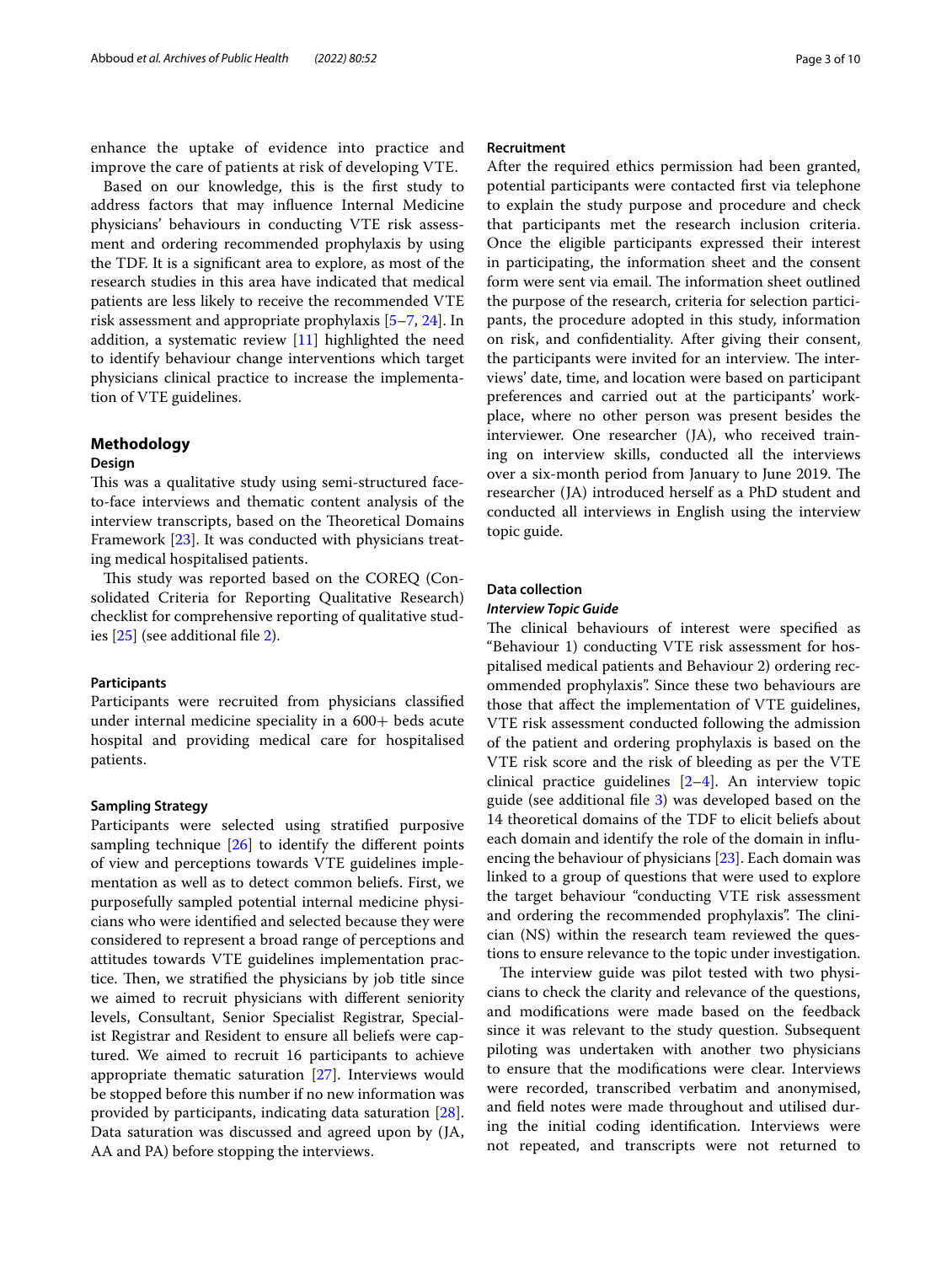enhance the uptake of evidence into practice and improve the care of patients at risk of developing VTE.

Based on our knowledge, this is the frst study to address factors that may infuence Internal Medicine physicians' behaviours in conducting VTE risk assessment and ordering recommended prophylaxis by using the TDF. It is a signifcant area to explore, as most of the research studies in this area have indicated that medical patients are less likely to receive the recommended VTE risk assessment and appropriate prophylaxis [[5](#page-8-2)[–7](#page-8-3), [24\]](#page-9-10). In addition, a systematic review [\[11](#page-9-0)] highlighted the need to identify behaviour change interventions which target physicians clinical practice to increase the implementation of VTE guidelines.

### **Methodology**

### **Design**

This was a qualitative study using semi-structured faceto-face interviews and thematic content analysis of the interview transcripts, based on the Theoretical Domains Framework [[23](#page-9-9)]. It was conducted with physicians treating medical hospitalised patients.

This study was reported based on the COREQ (Consolidated Criteria for Reporting Qualitative Research) checklist for comprehensive reporting of qualitative studies [\[25\]](#page-9-11) (see additional fle [2\)](#page-8-8).

# **Participants**

Participants were recruited from physicians classifed under internal medicine speciality in a 600+ beds acute hospital and providing medical care for hospitalised patients.

### **Sampling Strategy**

Participants were selected using stratifed purposive sampling technique  $[26]$  $[26]$  to identify the different points of view and perceptions towards VTE guidelines implementation as well as to detect common beliefs. First, we purposefully sampled potential internal medicine physicians who were identifed and selected because they were considered to represent a broad range of perceptions and attitudes towards VTE guidelines implementation practice. Then, we stratified the physicians by job title since we aimed to recruit physicians with diferent seniority levels, Consultant, Senior Specialist Registrar, Specialist Registrar and Resident to ensure all beliefs were captured. We aimed to recruit 16 participants to achieve appropriate thematic saturation [\[27\]](#page-9-13). Interviews would be stopped before this number if no new information was provided by participants, indicating data saturation [\[28](#page-9-14)]. Data saturation was discussed and agreed upon by (JA, AA and PA) before stopping the interviews.

### **Recruitment**

After the required ethics permission had been granted, potential participants were contacted frst via telephone to explain the study purpose and procedure and check that participants met the research inclusion criteria. Once the eligible participants expressed their interest in participating, the information sheet and the consent form were sent via email. The information sheet outlined the purpose of the research, criteria for selection participants, the procedure adopted in this study, information on risk, and confdentiality. After giving their consent, the participants were invited for an interview. The interviews' date, time, and location were based on participant preferences and carried out at the participants' workplace, where no other person was present besides the interviewer. One researcher (JA), who received training on interview skills, conducted all the interviews over a six-month period from January to June 2019. The researcher (JA) introduced herself as a PhD student and conducted all interviews in English using the interview topic guide.

#### **Data collection**

### *Interview Topic Guide*

The clinical behaviours of interest were specified as "Behaviour 1) conducting VTE risk assessment for hospitalised medical patients and Behaviour 2) ordering recommended prophylaxis". Since these two behaviours are those that afect the implementation of VTE guidelines, VTE risk assessment conducted following the admission of the patient and ordering prophylaxis is based on the VTE risk score and the risk of bleeding as per the VTE clinical practice guidelines [\[2](#page-8-9)[–4](#page-8-1)]. An interview topic guide (see additional fle [3\)](#page-8-10) was developed based on the 14 theoretical domains of the TDF to elicit beliefs about each domain and identify the role of the domain in infuencing the behaviour of physicians [\[23](#page-9-9)]. Each domain was linked to a group of questions that were used to explore the target behaviour "conducting VTE risk assessment and ordering the recommended prophylaxis". The clinician (NS) within the research team reviewed the questions to ensure relevance to the topic under investigation.

The interview guide was pilot tested with two physicians to check the clarity and relevance of the questions, and modifcations were made based on the feedback since it was relevant to the study question. Subsequent piloting was undertaken with another two physicians to ensure that the modifcations were clear. Interviews were recorded, transcribed verbatim and anonymised, and feld notes were made throughout and utilised during the initial coding identifcation. Interviews were not repeated, and transcripts were not returned to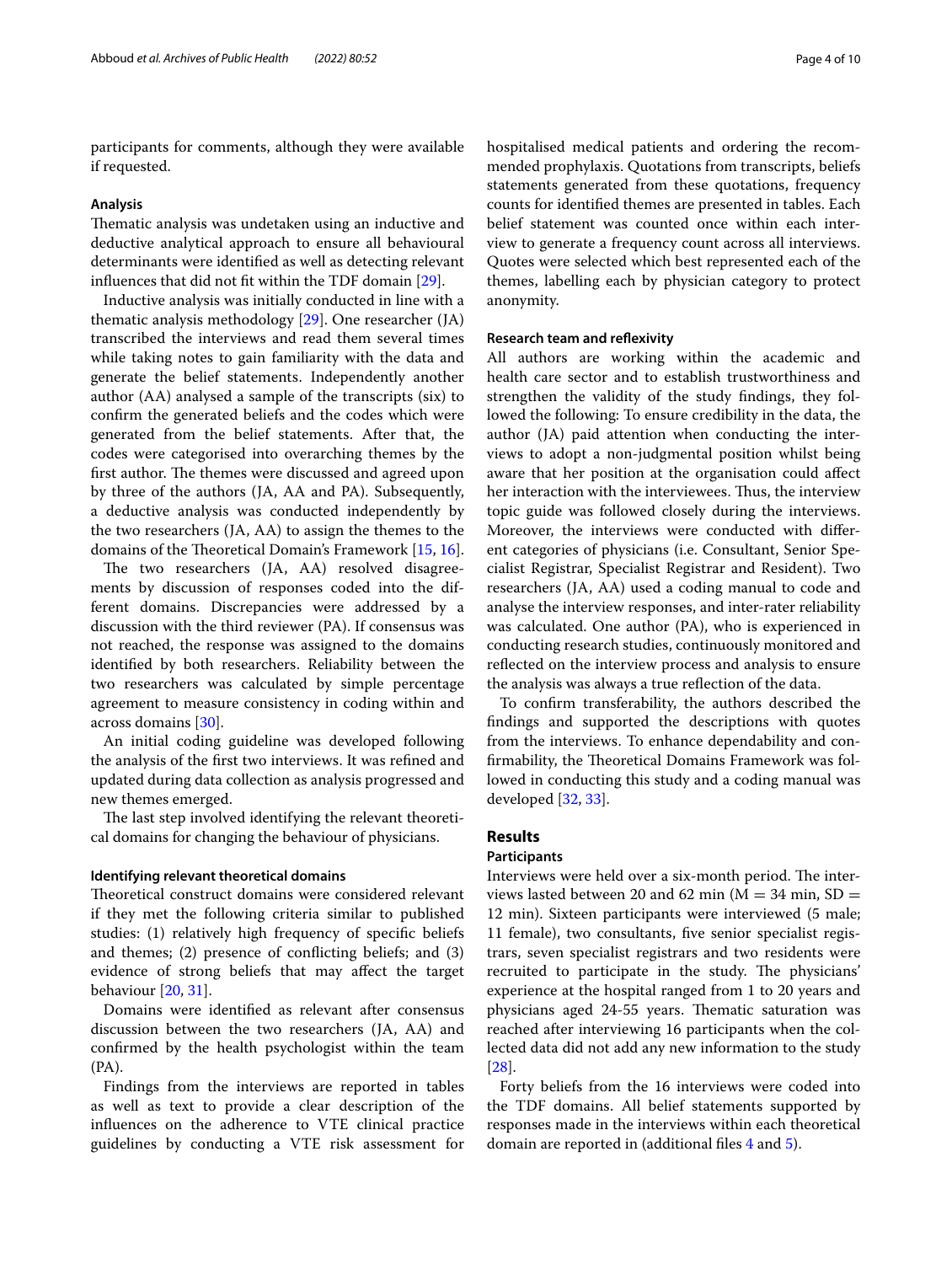participants for comments, although they were available if requested.

#### **Analysis**

Thematic analysis was undetaken using an inductive and deductive analytical approach to ensure all behavioural determinants were identifed as well as detecting relevant infuences that did not ft within the TDF domain [\[29](#page-9-15)].

Inductive analysis was initially conducted in line with a thematic analysis methodology [[29\]](#page-9-15). One researcher (JA) transcribed the interviews and read them several times while taking notes to gain familiarity with the data and generate the belief statements. Independently another author (AA) analysed a sample of the transcripts (six) to confrm the generated beliefs and the codes which were generated from the belief statements. After that, the codes were categorised into overarching themes by the first author. The themes were discussed and agreed upon by three of the authors (JA, AA and PA). Subsequently, a deductive analysis was conducted independently by the two researchers (JA, AA) to assign the themes to the domains of the Theoretical Domain's Framework [[15,](#page-9-3) [16](#page-9-4)].

The two researchers (JA, AA) resolved disagreements by discussion of responses coded into the different domains. Discrepancies were addressed by a discussion with the third reviewer (PA). If consensus was not reached, the response was assigned to the domains identifed by both researchers. Reliability between the two researchers was calculated by simple percentage agreement to measure consistency in coding within and across domains [[30\]](#page-9-16).

An initial coding guideline was developed following the analysis of the frst two interviews. It was refned and updated during data collection as analysis progressed and new themes emerged.

The last step involved identifying the relevant theoretical domains for changing the behaviour of physicians.

#### **Identifying relevant theoretical domains**

Theoretical construct domains were considered relevant if they met the following criteria similar to published studies: (1) relatively high frequency of specifc beliefs and themes; (2) presence of conficting beliefs; and (3) evidence of strong beliefs that may afect the target behaviour [\[20,](#page-9-7) [31](#page-9-17)].

Domains were identifed as relevant after consensus discussion between the two researchers (JA, AA) and confrmed by the health psychologist within the team (PA).

Findings from the interviews are reported in tables as well as text to provide a clear description of the infuences on the adherence to VTE clinical practice guidelines by conducting a VTE risk assessment for hospitalised medical patients and ordering the recommended prophylaxis. Quotations from transcripts, beliefs statements generated from these quotations, frequency counts for identifed themes are presented in tables. Each belief statement was counted once within each interview to generate a frequency count across all interviews. Quotes were selected which best represented each of the themes, labelling each by physician category to protect anonymity.

#### **Research team and refexivity**

All authors are working within the academic and health care sector and to establish trustworthiness and strengthen the validity of the study fndings, they followed the following: To ensure credibility in the data, the author (JA) paid attention when conducting the interviews to adopt a non-judgmental position whilst being aware that her position at the organisation could afect her interaction with the interviewees. Thus, the interview topic guide was followed closely during the interviews. Moreover, the interviews were conducted with diferent categories of physicians (i.e. Consultant, Senior Specialist Registrar, Specialist Registrar and Resident). Two researchers (JA, AA) used a coding manual to code and analyse the interview responses, and inter-rater reliability was calculated. One author (PA), who is experienced in conducting research studies, continuously monitored and refected on the interview process and analysis to ensure the analysis was always a true refection of the data.

To confrm transferability, the authors described the fndings and supported the descriptions with quotes from the interviews. To enhance dependability and confirmability, the Theoretical Domains Framework was followed in conducting this study and a coding manual was developed [\[32,](#page-9-18) [33](#page-9-19)].

# **Results**

# **Participants**

Interviews were held over a six-month period. The interviews lasted between 20 and 62 min  $(M = 34 \text{ min}, SD =$ 12 min). Sixteen participants were interviewed (5 male; 11 female), two consultants, fve senior specialist registrars, seven specialist registrars and two residents were recruited to participate in the study. The physicians' experience at the hospital ranged from 1 to 20 years and physicians aged 24-55 years. Thematic saturation was reached after interviewing 16 participants when the collected data did not add any new information to the study [[28\]](#page-9-14).

Forty beliefs from the 16 interviews were coded into the TDF domains. All belief statements supported by responses made in the interviews within each theoretical domain are reported in (additional fles [4](#page-8-11) and [5](#page-8-12)).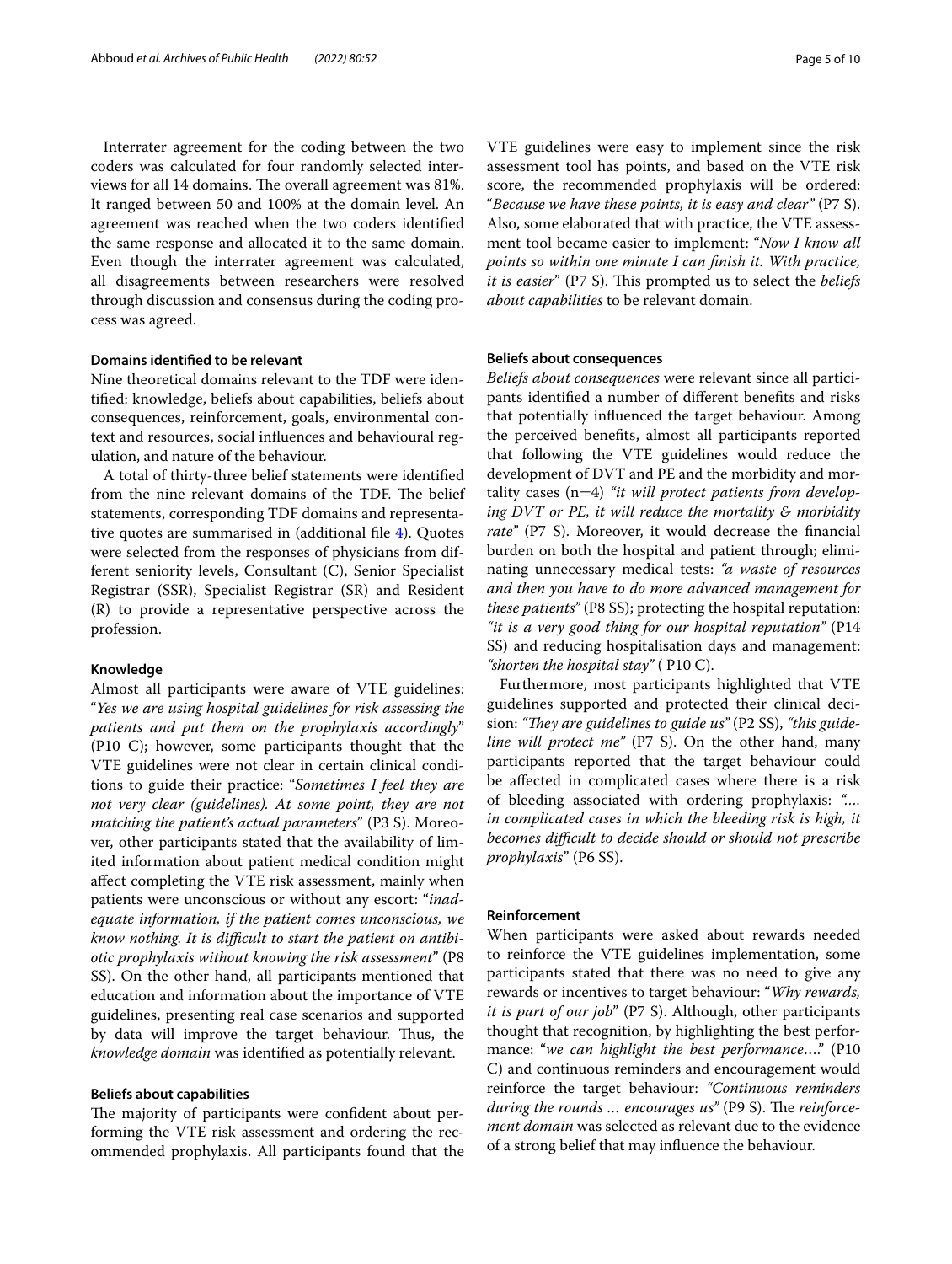Interrater agreement for the coding between the two coders was calculated for four randomly selected interviews for all 14 domains. The overall agreement was 81%. It ranged between 50 and 100% at the domain level. An agreement was reached when the two coders identifed the same response and allocated it to the same domain. Even though the interrater agreement was calculated, all disagreements between researchers were resolved through discussion and consensus during the coding process was agreed.

### **Domains identifed to be relevant**

Nine theoretical domains relevant to the TDF were identifed: knowledge, beliefs about capabilities, beliefs about consequences, reinforcement, goals, environmental context and resources, social infuences and behavioural regulation, and nature of the behaviour.

A total of thirty-three belief statements were identifed from the nine relevant domains of the TDF. The belief statements, corresponding TDF domains and representative quotes are summarised in (additional fle [4](#page-8-11)). Quotes were selected from the responses of physicians from different seniority levels, Consultant (C), Senior Specialist Registrar (SSR), Specialist Registrar (SR) and Resident (R) to provide a representative perspective across the profession.

### **Knowledge**

Almost all participants were aware of VTE guidelines: "*Yes we are using hospital guidelines for risk assessing the patients and put them on the prophylaxis accordingly*" (P10 C); however, some participants thought that the VTE guidelines were not clear in certain clinical conditions to guide their practice: "*Sometimes I feel they are not very clear (guidelines). At some point, they are not matching the patient's actual parameters*" (P3 S). Moreover, other participants stated that the availability of limited information about patient medical condition might afect completing the VTE risk assessment, mainly when patients were unconscious or without any escort: "*inadequate information, if the patient comes unconscious, we know nothing. It is difcult to start the patient on antibiotic prophylaxis without knowing the risk assessment*" (P8 SS). On the other hand, all participants mentioned that education and information about the importance of VTE guidelines, presenting real case scenarios and supported by data will improve the target behaviour. Thus, the *knowledge domain* was identifed as potentially relevant.

### **Beliefs about capabilities**

The majority of participants were confident about performing the VTE risk assessment and ordering the recommended prophylaxis. All participants found that the

VTE guidelines were easy to implement since the risk assessment tool has points, and based on the VTE risk score, the recommended prophylaxis will be ordered: "*Because we have these points, it is easy and clear"* (P7 S). Also, some elaborated that with practice, the VTE assessment tool became easier to implement: "*Now I know all points so within one minute I can fnish it. With practice, it is easier*" (P7 S). This prompted us to select the *beliefs about capabilities* to be relevant domain.

#### **Beliefs about consequences**

*Beliefs about consequences* were relevant since all participants identifed a number of diferent benefts and risks that potentially infuenced the target behaviour. Among the perceived benefts, almost all participants reported that following the VTE guidelines would reduce the development of DVT and PE and the morbidity and mortality cases (n=4) *"it will protect patients from developing DVT or PE, it will reduce the mortality & morbidity rate"* (P7 S). Moreover, it would decrease the fnancial burden on both the hospital and patient through; eliminating unnecessary medical tests: *"a waste of resources and then you have to do more advanced management for these patients"* (P8 SS); protecting the hospital reputation: *"it is a very good thing for our hospital reputation"* (P14 SS) and reducing hospitalisation days and management: *"shorten the hospital stay"* ( P10 C).

Furthermore, most participants highlighted that VTE guidelines supported and protected their clinical decision: "They are guidelines to guide us" (P2 SS), "this guide*line will protect me"* (P7 S). On the other hand, many participants reported that the target behaviour could be afected in complicated cases where there is a risk of bleeding associated with ordering prophylaxis: *"…. in complicated cases in which the bleeding risk is high, it becomes difcult to decide should or should not prescribe prophylaxis*" (P6 SS).

# **Reinforcement**

When participants were asked about rewards needed to reinforce the VTE guidelines implementation, some participants stated that there was no need to give any rewards or incentives to target behaviour: "*Why rewards, it is part of our job*" (P7 S). Although, other participants thought that recognition, by highlighting the best performance: "*we can highlight the best performance*…." (P10 C) and continuous reminders and encouragement would reinforce the target behaviour: *"Continuous reminders*  during the rounds ... encourages us" (P9 S). The reinforce*ment domain* was selected as relevant due to the evidence of a strong belief that may infuence the behaviour.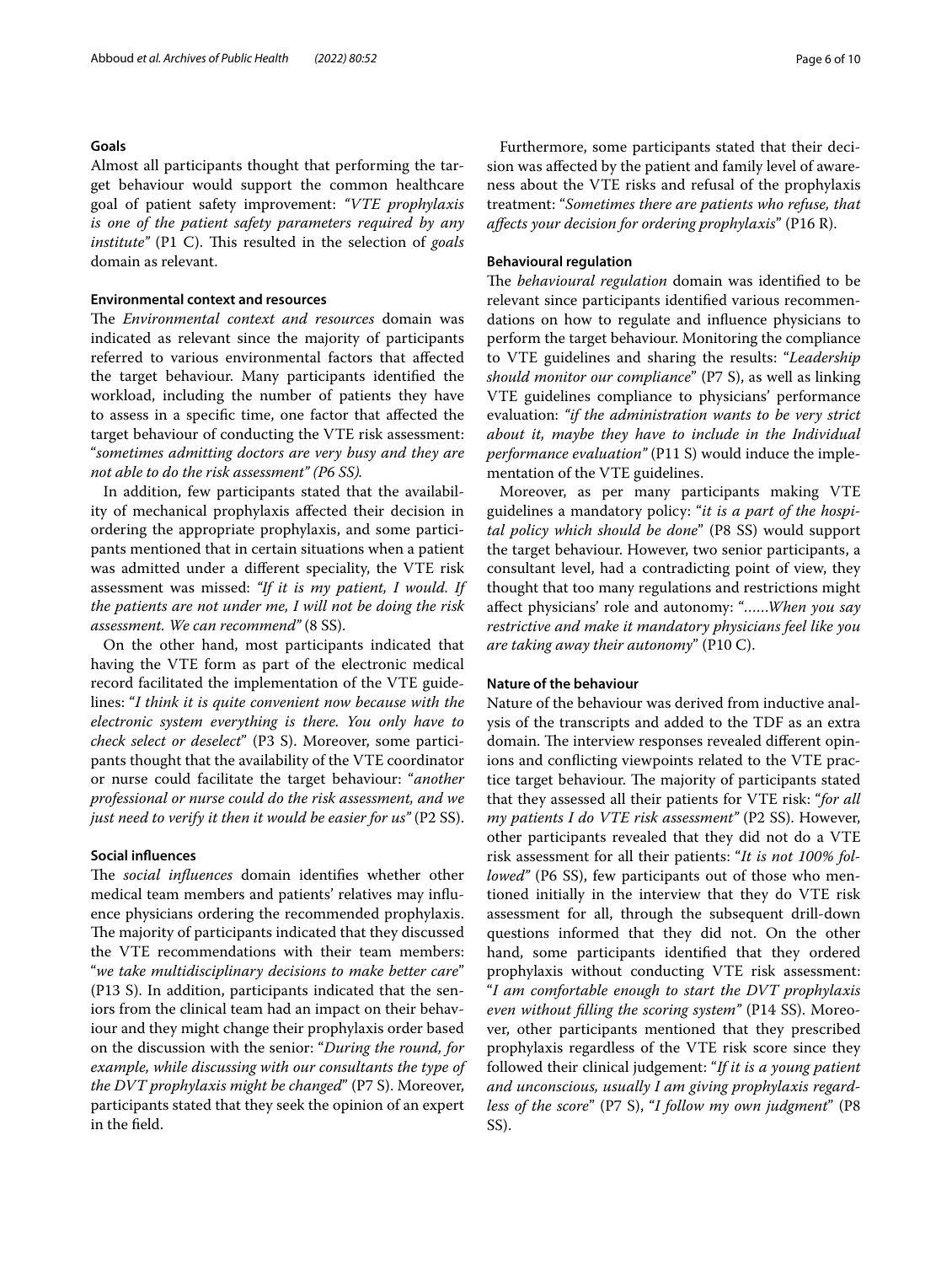### **Goals**

Almost all participants thought that performing the target behaviour would support the common healthcare goal of patient safety improvement: *"VTE prophylaxis is one of the patient safety parameters required by any institute"* (P1 C). This resulted in the selection of *goals* domain as relevant.

# **Environmental context and resources**

The *Environmental context and resources* domain was indicated as relevant since the majority of participants referred to various environmental factors that afected the target behaviour. Many participants identifed the workload, including the number of patients they have to assess in a specifc time, one factor that afected the target behaviour of conducting the VTE risk assessment: "*sometimes admitting doctors are very busy and they are not able to do the risk assessment" (P6 SS).*

In addition, few participants stated that the availability of mechanical prophylaxis afected their decision in ordering the appropriate prophylaxis, and some participants mentioned that in certain situations when a patient was admitted under a diferent speciality, the VTE risk assessment was missed: *"If it is my patient, I would. If the patients are not under me, I will not be doing the risk assessment. We can recommend"* (8 SS).

On the other hand, most participants indicated that having the VTE form as part of the electronic medical record facilitated the implementation of the VTE guidelines: "*I think it is quite convenient now because with the electronic system everything is there. You only have to check select or deselect*" (P3 S). Moreover, some participants thought that the availability of the VTE coordinator or nurse could facilitate the target behaviour: "*another professional or nurse could do the risk assessment, and we just need to verify it then it would be easier for us"* (P2 SS).

# **Social infuences**

The *social influences* domain identifies whether other medical team members and patients' relatives may infuence physicians ordering the recommended prophylaxis. The majority of participants indicated that they discussed the VTE recommendations with their team members: "*we take multidisciplinary decisions to make better care*" (P13 S). In addition, participants indicated that the seniors from the clinical team had an impact on their behaviour and they might change their prophylaxis order based on the discussion with the senior: "*During the round, for example, while discussing with our consultants the type of the DVT prophylaxis might be changed*" (P7 S). Moreover, participants stated that they seek the opinion of an expert in the feld.

Furthermore, some participants stated that their decision was afected by the patient and family level of awareness about the VTE risks and refusal of the prophylaxis treatment: "*Sometimes there are patients who refuse, that afects your decision for ordering prophylaxis*" (P16 R).

### **Behavioural regulation**

The *behavioural regulation* domain was identified to be relevant since participants identifed various recommendations on how to regulate and infuence physicians to perform the target behaviour. Monitoring the compliance to VTE guidelines and sharing the results: "*Leadership should monitor our compliance*" (P7 S), as well as linking VTE guidelines compliance to physicians' performance evaluation: *"if the administration wants to be very strict about it, maybe they have to include in the Individual performance evaluation"* (P11 S) would induce the implementation of the VTE guidelines.

Moreover, as per many participants making VTE guidelines a mandatory policy: "*it is a part of the hospital policy which should be done*" (P8 SS) would support the target behaviour. However, two senior participants, a consultant level, had a contradicting point of view, they thought that too many regulations and restrictions might afect physicians' role and autonomy: "*……When you say restrictive and make it mandatory physicians feel like you are taking away their autonomy*" (P10 C).

# **Nature of the behaviour**

Nature of the behaviour was derived from inductive analysis of the transcripts and added to the TDF as an extra domain. The interview responses revealed different opinions and conficting viewpoints related to the VTE practice target behaviour. The majority of participants stated that they assessed all their patients for VTE risk: "*for all my patients I do VTE risk assessment"* (P2 SS). However, other participants revealed that they did not do a VTE risk assessment for all their patients: "*It is not 100% followed"* (P6 SS), few participants out of those who mentioned initially in the interview that they do VTE risk assessment for all, through the subsequent drill-down questions informed that they did not. On the other hand, some participants identifed that they ordered prophylaxis without conducting VTE risk assessment: "*I am comfortable enough to start the DVT prophylaxis even without flling the scoring system"* (P14 SS). Moreover, other participants mentioned that they prescribed prophylaxis regardless of the VTE risk score since they followed their clinical judgement: "*If it is a young patient and unconscious, usually I am giving prophylaxis regardless of the score*" (P7 S), "*I follow my own judgment*" (P8 SS).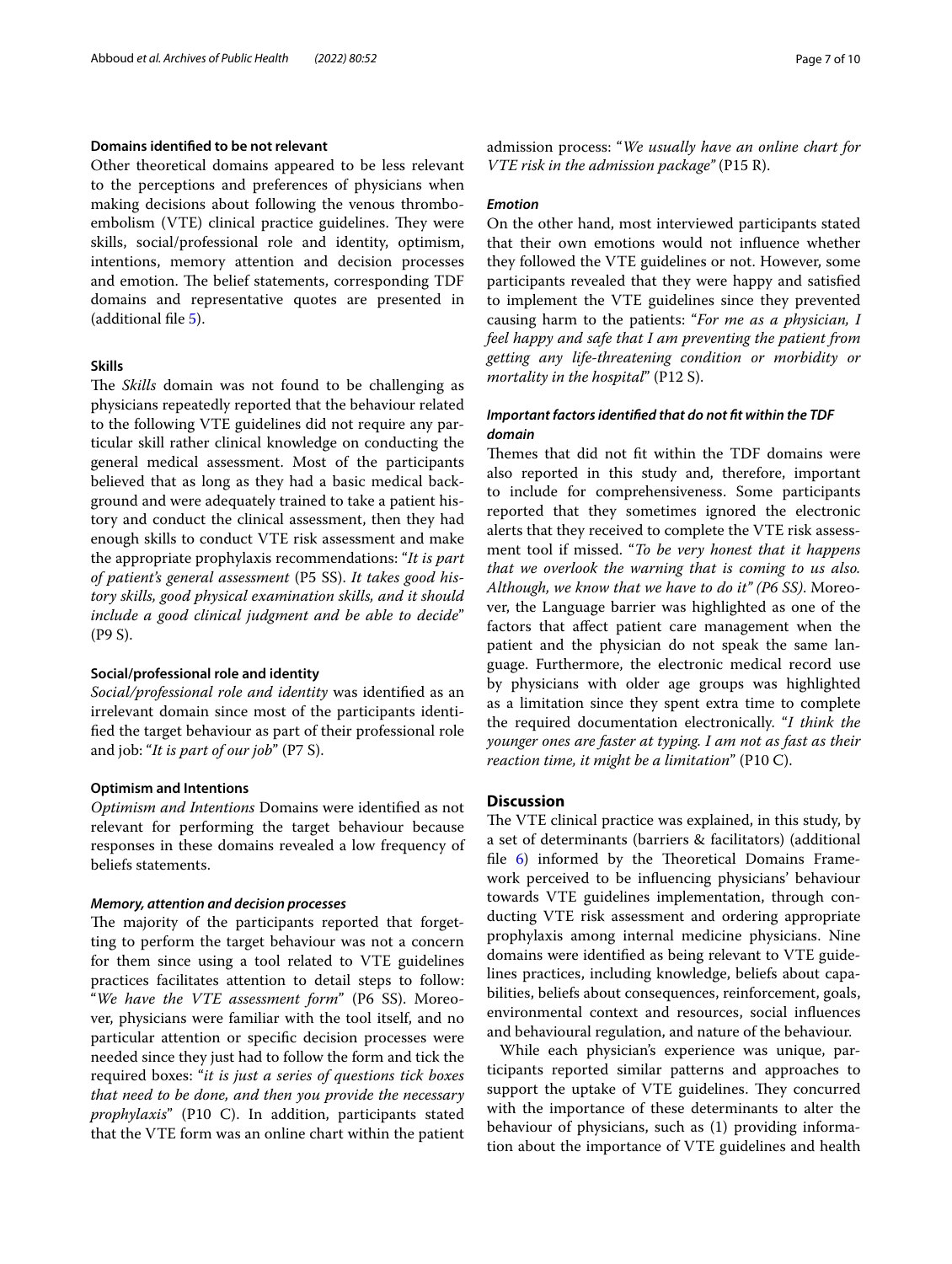### **Domains identifed to be not relevant**

Other theoretical domains appeared to be less relevant to the perceptions and preferences of physicians when making decisions about following the venous thromboembolism (VTE) clinical practice guidelines. They were skills, social/professional role and identity, optimism, intentions, memory attention and decision processes and emotion. The belief statements, corresponding TDF domains and representative quotes are presented in (additional fle [5\)](#page-8-12).

### **Skills**

The *Skills* domain was not found to be challenging as physicians repeatedly reported that the behaviour related to the following VTE guidelines did not require any particular skill rather clinical knowledge on conducting the general medical assessment. Most of the participants believed that as long as they had a basic medical background and were adequately trained to take a patient history and conduct the clinical assessment, then they had enough skills to conduct VTE risk assessment and make the appropriate prophylaxis recommendations: "*It is part of patient's general assessment* (P5 SS). *It takes good history skills, good physical examination skills, and it should include a good clinical judgment and be able to decide*" (P9 S).

#### **Social/professional role and identity**

*Social/professional role and identity* was identifed as an irrelevant domain since most of the participants identifed the target behaviour as part of their professional role and job: "*It is part of our job*" (P7 S).

### **Optimism and Intentions**

*Optimism and Intentions* Domains were identifed as not relevant for performing the target behaviour because responses in these domains revealed a low frequency of beliefs statements.

### *Memory, attention and decision processes*

The majority of the participants reported that forgetting to perform the target behaviour was not a concern for them since using a tool related to VTE guidelines practices facilitates attention to detail steps to follow: "*We have the VTE assessment form*" (P6 SS). Moreover, physicians were familiar with the tool itself, and no particular attention or specifc decision processes were needed since they just had to follow the form and tick the required boxes: "*it is just a series of questions tick boxes that need to be done, and then you provide the necessary prophylaxis*" (P10 C). In addition, participants stated that the VTE form was an online chart within the patient admission process: "*We usually have an online chart for VTE risk in the admission package"* (P15 R).

#### *Emotion*

On the other hand, most interviewed participants stated that their own emotions would not infuence whether they followed the VTE guidelines or not. However, some participants revealed that they were happy and satisfed to implement the VTE guidelines since they prevented causing harm to the patients: "*For me as a physician, I feel happy and safe that I am preventing the patient from getting any life-threatening condition or morbidity or mortality in the hospital*" (P12 S).

# *Important factors identifed that do not ft within the TDF domain*

Themes that did not fit within the TDF domains were also reported in this study and, therefore, important to include for comprehensiveness. Some participants reported that they sometimes ignored the electronic alerts that they received to complete the VTE risk assessment tool if missed. "*To be very honest that it happens that we overlook the warning that is coming to us also. Although, we know that we have to do it" (P6 SS)*. Moreover, the Language barrier was highlighted as one of the factors that afect patient care management when the patient and the physician do not speak the same language. Furthermore, the electronic medical record use by physicians with older age groups was highlighted as a limitation since they spent extra time to complete the required documentation electronically. "*I think the younger ones are faster at typing. I am not as fast as their reaction time, it might be a limitation*" (P10 C).

# **Discussion**

The VTE clinical practice was explained, in this study, by a set of determinants (barriers & facilitators) (additional file  $6$ ) informed by the Theoretical Domains Framework perceived to be infuencing physicians' behaviour towards VTE guidelines implementation, through conducting VTE risk assessment and ordering appropriate prophylaxis among internal medicine physicians. Nine domains were identifed as being relevant to VTE guidelines practices, including knowledge, beliefs about capabilities, beliefs about consequences, reinforcement, goals, environmental context and resources, social infuences and behavioural regulation, and nature of the behaviour.

While each physician's experience was unique, participants reported similar patterns and approaches to support the uptake of VTE guidelines. They concurred with the importance of these determinants to alter the behaviour of physicians, such as (1) providing information about the importance of VTE guidelines and health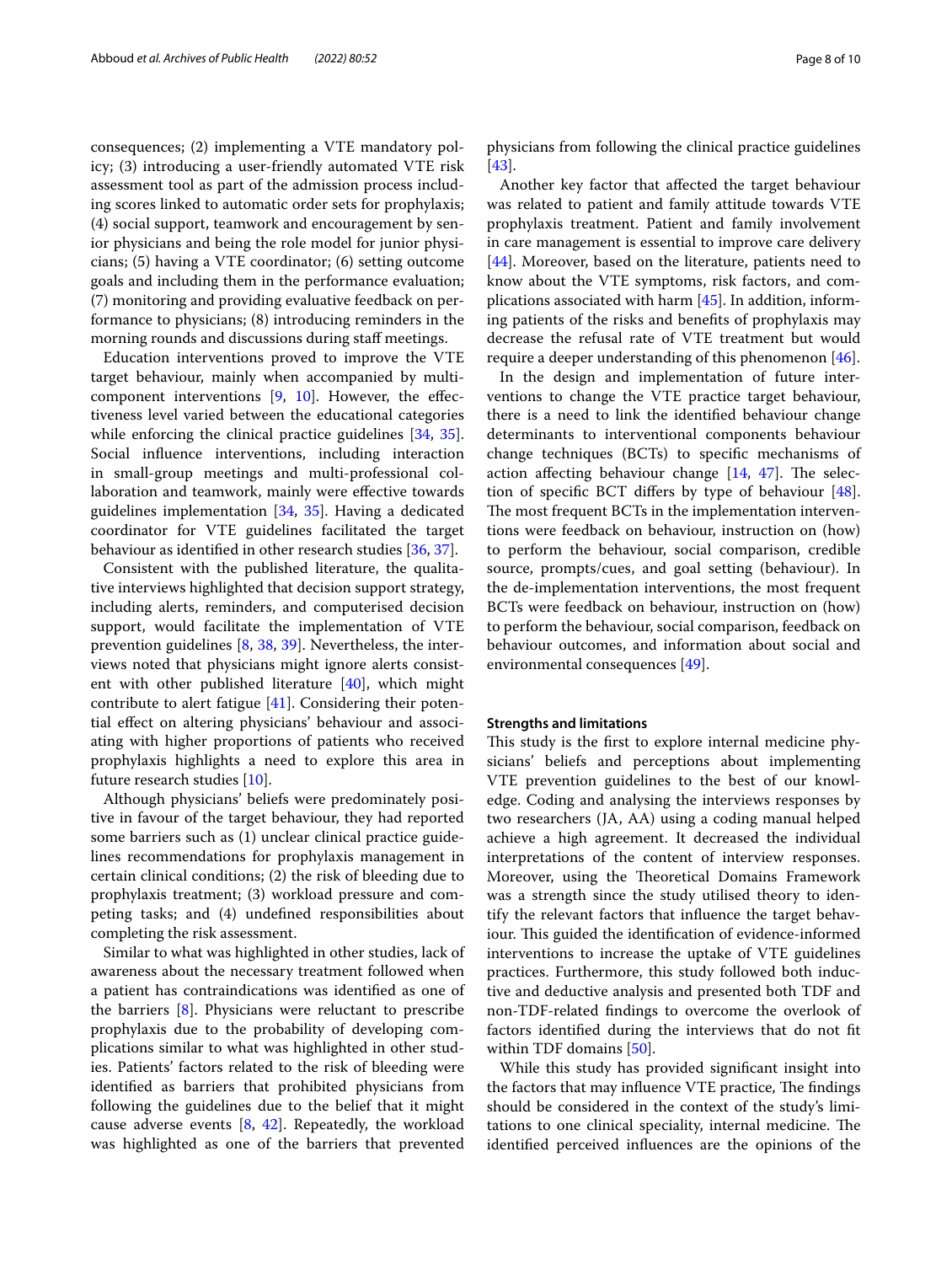consequences; (2) implementing a VTE mandatory policy; (3) introducing a user-friendly automated VTE risk assessment tool as part of the admission process including scores linked to automatic order sets for prophylaxis; (4) social support, teamwork and encouragement by senior physicians and being the role model for junior physicians; (5) having a VTE coordinator; (6) setting outcome goals and including them in the performance evaluation; (7) monitoring and providing evaluative feedback on performance to physicians; (8) introducing reminders in the morning rounds and discussions during staf meetings.

Education interventions proved to improve the VTE target behaviour, mainly when accompanied by multicomponent interventions  $[9, 10]$  $[9, 10]$  $[9, 10]$ . However, the effectiveness level varied between the educational categories while enforcing the clinical practice guidelines [\[34](#page-9-20), [35](#page-9-21)]. Social infuence interventions, including interaction in small-group meetings and multi-professional collaboration and teamwork, mainly were efective towards guidelines implementation [\[34](#page-9-20), [35](#page-9-21)]. Having a dedicated coordinator for VTE guidelines facilitated the target behaviour as identifed in other research studies [\[36](#page-9-22), [37](#page-9-23)].

Consistent with the published literature, the qualitative interviews highlighted that decision support strategy, including alerts, reminders, and computerised decision support, would facilitate the implementation of VTE prevention guidelines [\[8](#page-8-4), [38](#page-9-24), [39\]](#page-9-25). Nevertheless, the interviews noted that physicians might ignore alerts consistent with other published literature [\[40](#page-9-26)], which might contribute to alert fatigue [\[41](#page-9-27)]. Considering their potential efect on altering physicians' behaviour and associating with higher proportions of patients who received prophylaxis highlights a need to explore this area in future research studies [[10\]](#page-8-6).

Although physicians' beliefs were predominately positive in favour of the target behaviour, they had reported some barriers such as (1) unclear clinical practice guidelines recommendations for prophylaxis management in certain clinical conditions; (2) the risk of bleeding due to prophylaxis treatment; (3) workload pressure and competing tasks; and (4) undefned responsibilities about completing the risk assessment.

Similar to what was highlighted in other studies, lack of awareness about the necessary treatment followed when a patient has contraindications was identifed as one of the barriers [\[8](#page-8-4)]. Physicians were reluctant to prescribe prophylaxis due to the probability of developing complications similar to what was highlighted in other studies. Patients' factors related to the risk of bleeding were identifed as barriers that prohibited physicians from following the guidelines due to the belief that it might cause adverse events [[8,](#page-8-4) [42\]](#page-9-28). Repeatedly, the workload was highlighted as one of the barriers that prevented

physicians from following the clinical practice guidelines [[43\]](#page-9-29).

Another key factor that afected the target behaviour was related to patient and family attitude towards VTE prophylaxis treatment. Patient and family involvement in care management is essential to improve care delivery [[44\]](#page-9-30). Moreover, based on the literature, patients need to know about the VTE symptoms, risk factors, and complications associated with harm [\[45](#page-9-31)]. In addition, informing patients of the risks and benefts of prophylaxis may decrease the refusal rate of VTE treatment but would require a deeper understanding of this phenomenon [\[46\]](#page-9-32).

In the design and implementation of future interventions to change the VTE practice target behaviour, there is a need to link the identifed behaviour change determinants to interventional components behaviour change techniques (BCTs) to specifc mechanisms of action affecting behaviour change  $[14, 47]$  $[14, 47]$  $[14, 47]$  $[14, 47]$ . The selection of specifc BCT difers by type of behaviour [\[48](#page-9-34)]. The most frequent BCTs in the implementation interventions were feedback on behaviour, instruction on (how) to perform the behaviour, social comparison, credible source, prompts/cues, and goal setting (behaviour). In the de-implementation interventions, the most frequent BCTs were feedback on behaviour, instruction on (how) to perform the behaviour, social comparison, feedback on behaviour outcomes, and information about social and environmental consequences [[49\]](#page-9-35).

### **Strengths and limitations**

This study is the first to explore internal medicine physicians' beliefs and perceptions about implementing VTE prevention guidelines to the best of our knowledge. Coding and analysing the interviews responses by two researchers (JA, AA) using a coding manual helped achieve a high agreement. It decreased the individual interpretations of the content of interview responses. Moreover, using the Theoretical Domains Framework was a strength since the study utilised theory to identify the relevant factors that infuence the target behaviour. This guided the identification of evidence-informed interventions to increase the uptake of VTE guidelines practices. Furthermore, this study followed both inductive and deductive analysis and presented both TDF and non-TDF-related fndings to overcome the overlook of factors identifed during the interviews that do not ft within TDF domains [\[50\]](#page-9-36).

While this study has provided signifcant insight into the factors that may influence VTE practice, The findings should be considered in the context of the study's limitations to one clinical speciality, internal medicine. The identifed perceived infuences are the opinions of the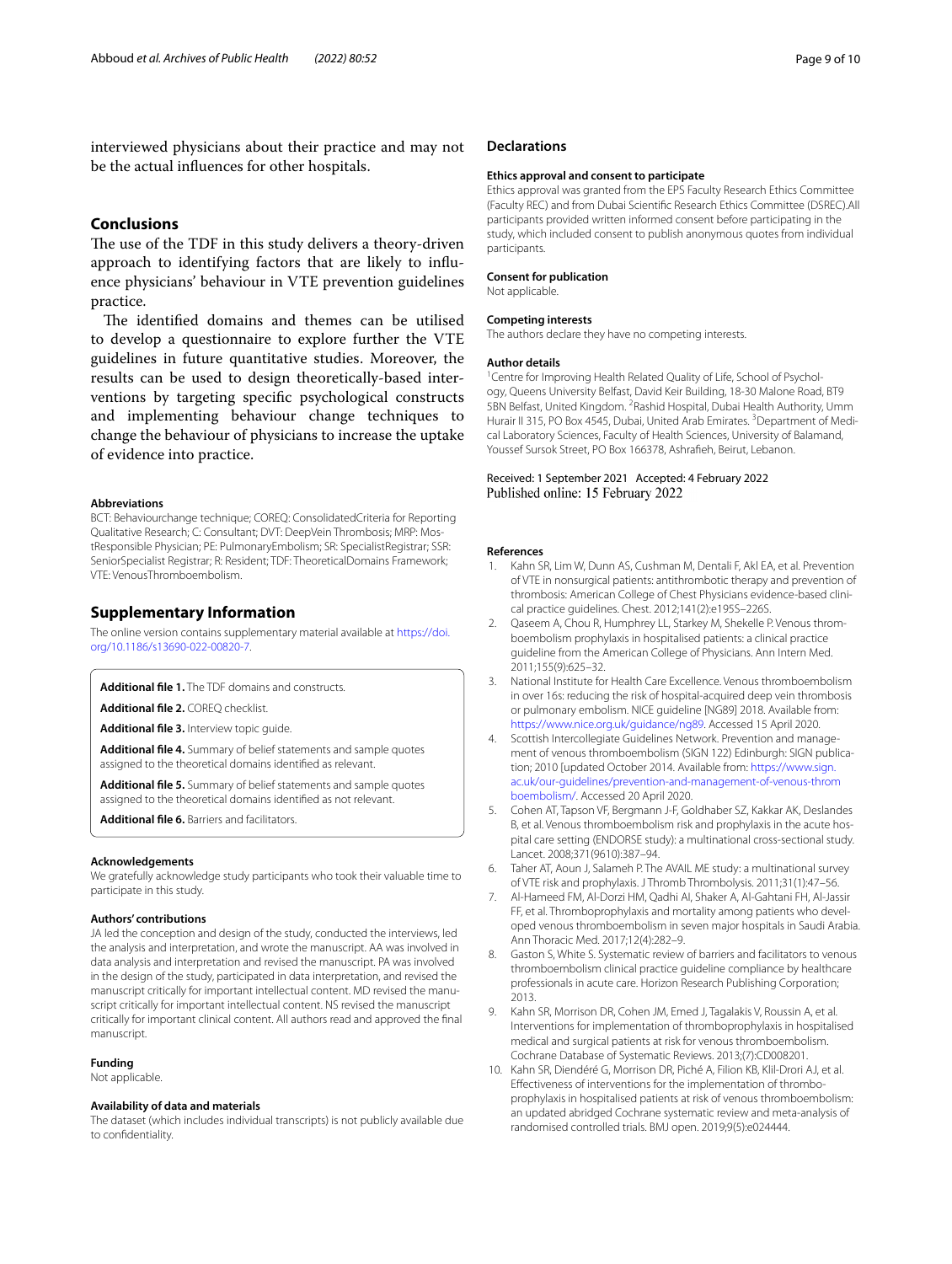interviewed physicians about their practice and may not be the actual infuences for other hospitals.

### **Conclusions**

The use of the TDF in this study delivers a theory-driven approach to identifying factors that are likely to infuence physicians' behaviour in VTE prevention guidelines practice.

The identified domains and themes can be utilised to develop a questionnaire to explore further the VTE guidelines in future quantitative studies. Moreover, the results can be used to design theoretically-based interventions by targeting specifc psychological constructs and implementing behaviour change techniques to change the behaviour of physicians to increase the uptake of evidence into practice.

#### **Abbreviations**

BCT: Behaviourchange technique; COREQ: ConsolidatedCriteria for Reporting Qualitative Research; C: Consultant; DVT: DeepVein Thrombosis; MRP: MostResponsible Physician; PE: PulmonaryEmbolism; SR: SpecialistRegistrar; SSR: SeniorSpecialist Registrar; R: Resident; TDF: TheoreticalDomains Framework; VTE: VenousThromboembolism.

### **Supplementary Information**

The online version contains supplementary material available at [https://doi.](https://doi.org/10.1186/s13690-022-00820-7) [org/10.1186/s13690-022-00820-7](https://doi.org/10.1186/s13690-022-00820-7).

<span id="page-8-8"></span><span id="page-8-7"></span>**Additional fle 1.** The TDF domains and constructs.

<span id="page-8-10"></span>**Additional fle 2.** COREQ checklist.

<span id="page-8-11"></span>**Additional fle 3.** Interview topic guide.

<span id="page-8-12"></span>**Additional fle 4.** Summary of belief statements and sample quotes assigned to the theoretical domains identifed as relevant.

<span id="page-8-13"></span>**Additional fle 5.** Summary of belief statements and sample quotes assigned to the theoretical domains identifed as not relevant.

**Additional fle 6.** Barriers and facilitators.

#### **Acknowledgements**

We gratefully acknowledge study participants who took their valuable time to participate in this study.

#### **Authors' contributions**

JA led the conception and design of the study, conducted the interviews, led the analysis and interpretation, and wrote the manuscript. AA was involved in data analysis and interpretation and revised the manuscript. PA was involved in the design of the study, participated in data interpretation, and revised the manuscript critically for important intellectual content. MD revised the manuscript critically for important intellectual content. NS revised the manuscript critically for important clinical content. All authors read and approved the fnal manuscript.

#### **Funding**

Not applicable.

#### **Availability of data and materials**

The dataset (which includes individual transcripts) is not publicly available due to confdentiality.

#### **Declarations**

#### **Ethics approval and consent to participate**

Ethics approval was granted from the EPS Faculty Research Ethics Committee (Faculty REC) and from Dubai Scientifc Research Ethics Committee (DSREC).All participants provided written informed consent before participating in the study, which included consent to publish anonymous quotes from individual participants.

#### **Consent for publication**

Not applicable.

#### **Competing interests**

The authors declare they have no competing interests.

#### **Author details**

<sup>1</sup> Centre for Improving Health Related Quality of Life, School of Psychology, Queens University Belfast, David Keir Building, 18-30 Malone Road, BT9 5BN Belfast, United Kingdom. <sup>2</sup> Rashid Hospital, Dubai Health Authority, Umm Hurair II 315, PO Box 4545, Dubai, United Arab Emirates. <sup>3</sup> Department of Medical Laboratory Sciences, Faculty of Health Sciences, University of Balamand, Youssef Sursok Street, PO Box 166378, Ashrafeh, Beirut, Lebanon.

#### Received: 1 September 2021 Accepted: 4 February 2022 Published online: 15 February 2022

#### **References**

- <span id="page-8-0"></span>1. Kahn SR, Lim W, Dunn AS, Cushman M, Dentali F, Akl EA, et al. Prevention of VTE in nonsurgical patients: antithrombotic therapy and prevention of thrombosis: American College of Chest Physicians evidence-based clinical practice guidelines. Chest. 2012;141(2):e195S–226S.
- <span id="page-8-9"></span>2. Qaseem A, Chou R, Humphrey LL, Starkey M, Shekelle P. Venous thromboembolism prophylaxis in hospitalised patients: a clinical practice guideline from the American College of Physicians. Ann Intern Med. 2011;155(9):625–32.
- 3. National Institute for Health Care Excellence. Venous thromboembolism in over 16s: reducing the risk of hospital-acquired deep vein thrombosis or pulmonary embolism. NICE guideline [NG89] 2018. Available from: <https://www.nice.org.uk/guidance/ng89>. Accessed 15 April 2020.
- <span id="page-8-1"></span>4. Scottish Intercollegiate Guidelines Network. Prevention and management of venous thromboembolism (SIGN 122) Edinburgh: SIGN publication; 2010 [updated October 2014. Available from: [https://www.sign.](https://www.sign.ac.uk/our-guidelines/prevention-and-management-of-venous-thromboembolism/) [ac.uk/our-guidelines/prevention-and-management-of-venous-throm](https://www.sign.ac.uk/our-guidelines/prevention-and-management-of-venous-thromboembolism/) [boembolism/](https://www.sign.ac.uk/our-guidelines/prevention-and-management-of-venous-thromboembolism/). Accessed 20 April 2020.
- <span id="page-8-2"></span>5. Cohen AT, Tapson VF, Bergmann J-F, Goldhaber SZ, Kakkar AK, Deslandes B, et al. Venous thromboembolism risk and prophylaxis in the acute hospital care setting (ENDORSE study): a multinational cross-sectional study. Lancet. 2008;371(9610):387–94.
- 6. Taher AT, Aoun J, Salameh P. The AVAIL ME study: a multinational survey of VTE risk and prophylaxis. J Thromb Thrombolysis. 2011;31(1):47–56.
- <span id="page-8-3"></span>7. Al-Hameed FM, Al-Dorzi HM, Qadhi AI, Shaker A, Al-Gahtani FH, Al-Jassir FF, et al. Thromboprophylaxis and mortality among patients who developed venous thromboembolism in seven major hospitals in Saudi Arabia. Ann Thoracic Med. 2017;12(4):282–9.
- <span id="page-8-4"></span>8. Gaston S, White S. Systematic review of barriers and facilitators to venous thromboembolism clinical practice guideline compliance by healthcare professionals in acute care. Horizon Research Publishing Corporation; 2013.
- <span id="page-8-5"></span>9. Kahn SR, Morrison DR, Cohen JM, Emed J, Tagalakis V, Roussin A, et al. Interventions for implementation of thromboprophylaxis in hospitalised medical and surgical patients at risk for venous thromboembolism. Cochrane Database of Systematic Reviews. 2013;(7):CD008201.
- <span id="page-8-6"></span>10. Kahn SR, Diendéré G, Morrison DR, Piché A, Filion KB, Klil-Drori AJ, et al. Efectiveness of interventions for the implementation of thromboprophylaxis in hospitalised patients at risk of venous thromboembolism: an updated abridged Cochrane systematic review and meta-analysis of randomised controlled trials. BMJ open. 2019;9(5):e024444.